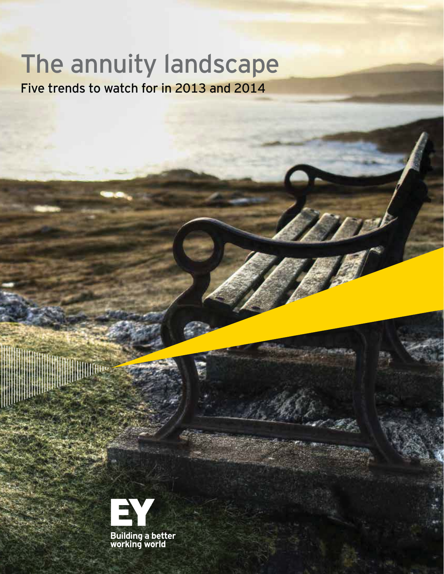# The annuity landscape

Five trends to watch for in 2013 and 2014



**Million**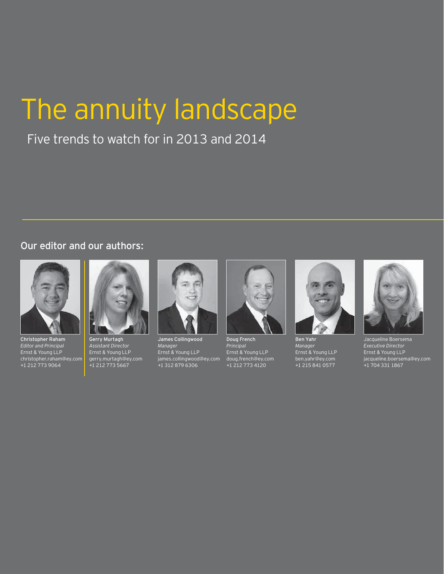# The annuity landscape

Five trends to watch for in 2013 and 2014

# Our editor and our authors:



Christopher Raham *Editor and Principal* Ernst & Young LLP christopher.raham@ey.com +1 212 773 9064



Gerry Murtagh *Assistant Director* Ernst & Young LLP gerry.murtagh@ey.com +1 212 773 5667



James Collingwood *Manager* Ernst & Young LLP james.collingwood@ey.com +1 312 879 6306



Doug French *Principal* Ernst & Young LLP doug.french@ey.com +1 212 773 4120



Ben Yahr *Manager* Ernst & Young LLP ben.yahr@ey.com +1 215 841 0577



Jacqueline Boersema *Executive Director* Ernst & Young LLP jacqueline.boersema@ey.com +1 704 331 1867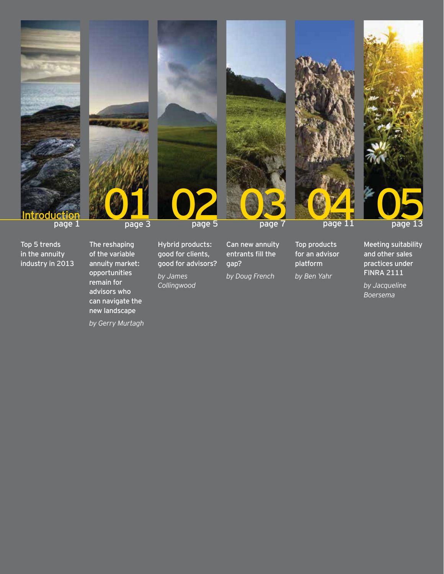

page 1

Top 5 trends in the annuity industry in 2013











The reshaping of the variable annuity market: opportunities remain for advisors who can navigate the new landscape

Hybrid products: good for clients, good for advisors?

*by James Collingwood* Can new annuity entrants fill the gap?

*by Doug French*

Top products for an advisor platform *by Ben Yahr*

Meeting suitability and other sales practices under FINRA 2111

*by Jacqueline Boersema*

*by Gerry Murtagh*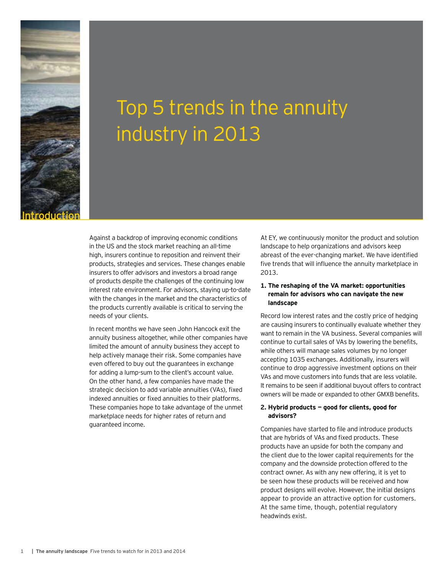

# Top 5 trends in the annuity industry in 2013

Against a backdrop of improving economic conditions in the US and the stock market reaching an all-time high, insurers continue to reposition and reinvent their products, strategies and services. These changes enable insurers to offer advisors and investors a broad range of products despite the challenges of the continuing low interest rate environment. For advisors, staying up-to-date with the changes in the market and the characteristics of the products currently available is critical to serving the needs of your clients.

In recent months we have seen John Hancock exit the annuity business altogether, while other companies have limited the amount of annuity business they accept to help actively manage their risk. Some companies have even offered to buy out the guarantees in exchange for adding a lump-sum to the client's account value. On the other hand, a few companies have made the strategic decision to add variable annuities (VAs), fixed indexed annuities or fixed annuities to their platforms. These companies hope to take advantage of the unmet marketplace needs for higher rates of return and guaranteed income.

At EY, we continuously monitor the product and solution landscape to help organizations and advisors keep abreast of the ever-changing market. We have identified five trends that will influence the annuity marketplace in 2013.

### **1. The reshaping of the VA market: opportunities remain for advisors who can navigate the new landscape**

Record low interest rates and the costly price of hedging are causing insurers to continually evaluate whether they want to remain in the VA business. Several companies will continue to curtail sales of VAs by lowering the benefits, while others will manage sales volumes by no longer accepting 1035 exchanges. Additionally, insurers will continue to drop aggressive investment options on their VAs and move customers into funds that are less volatile. It remains to be seen if additional buyout offers to contract owners will be made or expanded to other GMXB benefits.

#### **2. Hybrid products — good for clients, good for advisors?**

Companies have started to file and introduce products that are hybrids of VAs and fixed products. These products have an upside for both the company and the client due to the lower capital requirements for the company and the downside protection offered to the contract owner. As with any new offering, it is yet to be seen how these products will be received and how product designs will evolve. However, the initial designs appear to provide an attractive option for customers. At the same time, though, potential regulatory headwinds exist.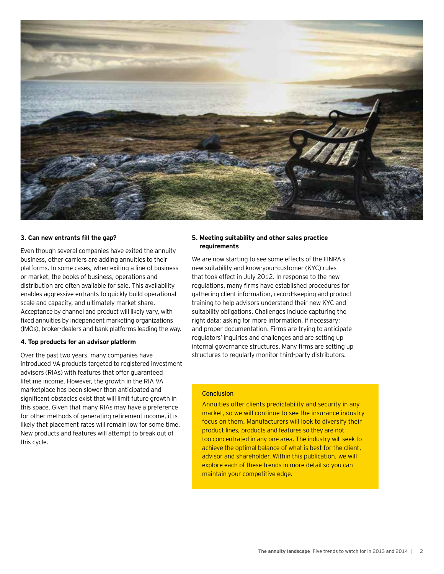

#### 3. Can new entrants fill the gap?

Even though several companies have exited the annuity business, other carriers are adding annuities to their platforms. In some cases, when exiting a line of business or market, the books of business, operations and distribution are often available for sale. This availability enables aggressive entrants to quickly build operational scale and capacity, and ultimately market share. Acceptance by channel and product will likely vary, with fixed annuities by independent marketing organizations (IMOs), broker-dealers and bank platforms leading the way.

#### **4. Top products for an advisor platform**

Over the past two years, many companies have introduced VA products targeted to registered investment advisors (RIAs) with features that offer guaranteed lifetime income. However, the growth in the RIA VA marketplace has been slower than anticipated and significant obstacles exist that will limit future growth in this space. Given that many RIAs may have a preference for other methods of generating retirement income, it is likely that placement rates will remain low for some time. New products and features will attempt to break out of this cycle.

### **5. Meeting suitability and other sales practice requirements**

We are now starting to see some effects of the FINRA's new suitability and know-your-customer (KYC) rules that took effect in July 2012. In response to the new regulations, many firms have established procedures for gathering client information, record-keeping and product training to help advisors understand their new KYC and suitability obligations. Challenges include capturing the right data; asking for more information, if necessary; and proper documentation. Firms are trying to anticipate regulators' inquiries and challenges and are setting up internal governance structures. Many firms are setting up structures to regularly monitor third-party distributors.

### **Conclusion**

Annuities offer clients predictability and security in any market, so we will continue to see the insurance industry focus on them. Manufacturers will look to diversify their product lines, products and features so they are not too concentrated in any one area. The industry will seek to achieve the optimal balance of what is best for the client, advisor and shareholder. Within this publication, we will explore each of these trends in more detail so you can maintain your competitive edge.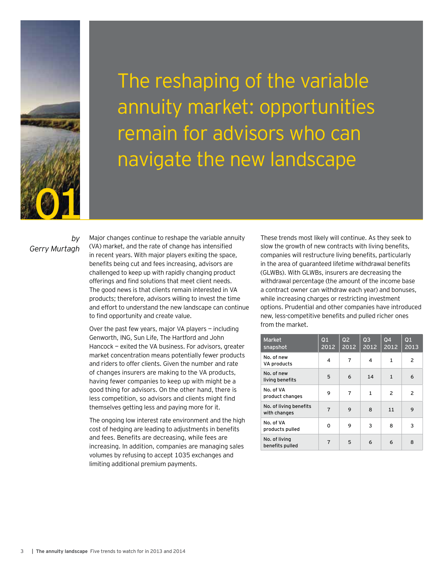

The reshaping of the variable annuity market: opportunities remain for advisors who can navigate the new landscape

*by Gerry Murtagh* Major changes continue to reshape the variable annuity (VA) market, and the rate of change has intensified in recent years. With major players exiting the space, benefits being cut and fees increasing, advisors are challenged to keep up with rapidly changing product offerings and find solutions that meet client needs. The good news is that clients remain interested in VA products; therefore, advisors willing to invest the time and effort to understand the new landscape can continue to find opportunity and create value.

Over the past few years, major VA players — including Genworth, ING, Sun Life, The Hartford and John Hancock — exited the VA business. For advisors, greater market concentration means potentially fewer products and riders to offer clients. Given the number and rate of changes insurers are making to the VA products, having fewer companies to keep up with might be a good thing for advisors. On the other hand, there is less competition, so advisors and clients might find themselves getting less and paying more for it.

The ongoing low interest rate environment and the high cost of hedging are leading to adjustments in benefits and fees. Benefits are decreasing, while fees are increasing. In addition, companies are managing sales volumes by refusing to accept 1035 exchanges and limiting additional premium payments.

These trends most likely will continue. As they seek to slow the growth of new contracts with living benefits, companies will restructure living benefits, particularly in the area of quaranteed lifetime withdrawal benefits (GLWBs). With GLWBs, insurers are decreasing the withdrawal percentage (the amount of the income base a contract owner can withdraw each year) and bonuses, while increasing charges or restricting investment options. Prudential and other companies have introduced new, less-competitive benefits and pulled richer ones from the market.

| Market<br>snapshot                     | Q <sub>1</sub><br>2012 | Q <sub>2</sub><br>2012 | Q <sub>3</sub><br>2012 | 04<br>2012   | Q1<br>2013     |
|----------------------------------------|------------------------|------------------------|------------------------|--------------|----------------|
| No. of new<br>VA products              | 4                      | 7                      | 4                      | 1            | $\overline{c}$ |
| No. of new<br>living benefits          | 5                      | 6                      | 14                     | $\mathbf{1}$ | 6              |
| No. of VA<br>product changes           | 9                      | 7                      | $\mathbf{1}$           | 2            | 2              |
| No. of living benefits<br>with changes | $\overline{7}$         | 9                      | 8                      | 11           | 9              |
| No. of VA<br>products pulled           | $\Omega$               | 9                      | 3                      | 8            | 3              |
| No. of living<br>benefits pulled       | $\overline{7}$         | 5                      | 6                      | 6            | 8              |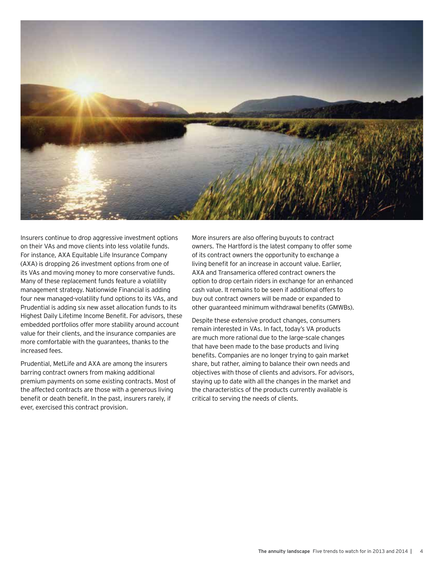

Insurers continue to drop aggressive investment options on their VAs and move clients into less volatile funds. For instance, AXA Equitable Life Insurance Company (AXA) is dropping 26 investment options from one of its VAs and moving money to more conservative funds. Many of these replacement funds feature a volatility management strategy. Nationwide Financial is adding four new managed-volatility fund options to its VAs, and Prudential is adding six new asset allocation funds to its Highest Daily Lifetime Income Benefit. For advisors, these embedded portfolios offer more stability around account value for their clients, and the insurance companies are more comfortable with the guarantees, thanks to the increased fees.

Prudential, MetLife and AXA are among the insurers barring contract owners from making additional premium payments on some existing contracts. Most of the affected contracts are those with a generous living benefit or death benefit. In the past, insurers rarely, if ever, exercised this contract provision.

More insurers are also offering buyouts to contract owners. The Hartford is the latest company to offer some of its contract owners the opportunity to exchange a living benefit for an increase in account value. Earlier, AXA and Transamerica offered contract owners the option to drop certain riders in exchange for an enhanced cash value. It remains to be seen if additional offers to buy out contract owners will be made or expanded to other guaranteed minimum withdrawal benefits (GMWBs).

Despite these extensive product changes, consumers remain interested in VAs. In fact, today's VA products are much more rational due to the large-scale changes that have been made to the base products and living benefits. Companies are no longer trying to gain market share, but rather, aiming to balance their own needs and objectives with those of clients and advisors. For advisors, staying up to date with all the changes in the market and the characteristics of the products currently available is critical to serving the needs of clients.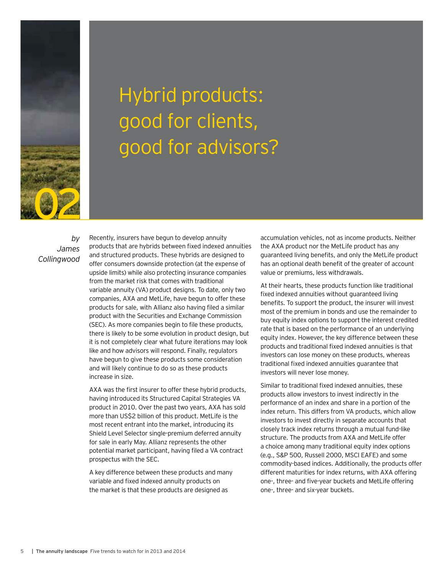

# Hybrid products: good for clients, good for advisors?

*by James Collingwood* Recently, insurers have begun to develop annuity products that are hybrids between fixed indexed annuities and structured products. These hybrids are designed to offer consumers downside protection (at the expense of upside limits) while also protecting insurance companies from the market risk that comes with traditional variable annuity (VA) product designs. To date, only two companies, AXA and MetLife, have begun to offer these products for sale, with Allianz also having filed a similar product with the Securities and Exchange Commission (SEC). As more companies begin to file these products, there is likely to be some evolution in product design, but it is not completely clear what future iterations may look like and how advisors will respond. Finally, regulators have begun to give these products some consideration and will likely continue to do so as these products increase in size.

AXA was the first insurer to offer these hybrid products, having introduced its Structured Capital Strategies VA product in 2010. Over the past two years, AXA has sold more than US\$2 billion of this product. MetLife is the most recent entrant into the market, introducing its Shield Level Selector single-premium deferred annuity for sale in early May. Allianz represents the other potential market participant, having filed a VA contract prospectus with the SEC.

A key difference between these products and many variable and fixed indexed annuity products on the market is that these products are designed as

accumulation vehicles, not as income products. Neither the AXA product nor the MetLife product has any quaranteed living benefits, and only the MetLife product has an optional death benefit of the greater of account value or premiums, less withdrawals.

At their hearts, these products function like traditional fixed indexed annuities without quaranteed living benefits. To support the product, the insurer will invest most of the premium in bonds and use the remainder to buy equity index options to support the interest credited rate that is based on the performance of an underlying equity index. However, the key difference between these products and traditional fixed indexed annuities is that investors can lose money on these products, whereas traditional fixed indexed annuities quarantee that investors will never lose money.

Similar to traditional fixed indexed annuities, these products allow investors to invest indirectly in the performance of an index and share in a portion of the index return. This differs from VA products, which allow investors to invest directly in separate accounts that closely track index returns through a mutual fund-like structure. The products from AXA and MetLife offer a choice among many traditional equity index options (e.g., S&P 500, Russell 2000, MSCI EAFE) and some commodity-based indices. Additionally, the products offer different maturities for index returns, with AXA offering one-, three- and five-year buckets and MetLife offering one-, three- and six-year buckets.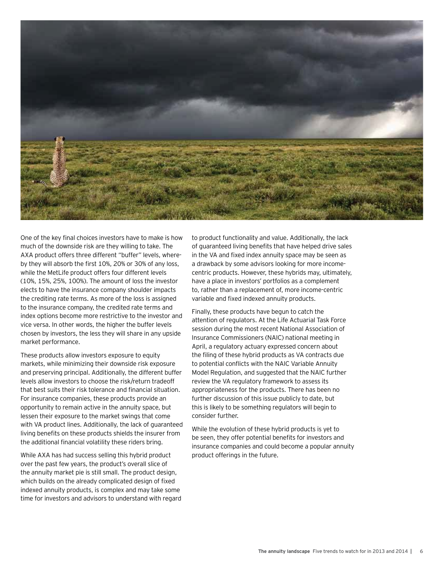

One of the key final choices investors have to make is how much of the downside risk are they willing to take. The AXA product offers three different "buffer" levels, whereby they will absorb the first 10%, 20% or 30% of any loss, while the MetLife product offers four different levels (10%, 15%, 25%, 100%). The amount of loss the investor elects to have the insurance company shoulder impacts the crediting rate terms. As more of the loss is assigned to the insurance company, the credited rate terms and index options become more restrictive to the investor and vice versa. In other words, the higher the buffer levels chosen by investors, the less they will share in any upside market performance.

These products allow investors exposure to equity markets, while minimizing their downside risk exposure and preserving principal. Additionally, the different buffer levels allow investors to choose the risk/return tradeoff that best suits their risk tolerance and financial situation. For insurance companies, these products provide an opportunity to remain active in the annuity space, but lessen their exposure to the market swings that come with VA product lines. Additionally, the lack of guaranteed living benefits on these products shields the insurer from the additional financial volatility these riders bring.

While AXA has had success selling this hybrid product over the past few years, the product's overall slice of the annuity market pie is still small. The product design, which builds on the already complicated design of fixed indexed annuity products, is complex and may take some time for investors and advisors to understand with regard to product functionality and value. Additionally, the lack of quaranteed living benefits that have helped drive sales in the VA and fixed index annuity space may be seen as a drawback by some advisors looking for more incomecentric products. However, these hybrids may, ultimately, have a place in investors' portfolios as a complement to, rather than a replacement of, more income-centric variable and fixed indexed annuity products.

Finally, these products have begun to catch the attention of regulators. At the Life Actuarial Task Force session during the most recent National Association of Insurance Commissioners (NAIC) national meeting in April, a regulatory actuary expressed concern about the filing of these hybrid products as VA contracts due to potential conflicts with the NAIC Variable Annuity Model Regulation, and suggested that the NAIC further review the VA regulatory framework to assess its appropriateness for the products. There has been no further discussion of this issue publicly to date, but this is likely to be something regulators will begin to consider further.

While the evolution of these hybrid products is yet to be seen, they offer potential benefits for investors and insurance companies and could become a popular annuity product offerings in the future.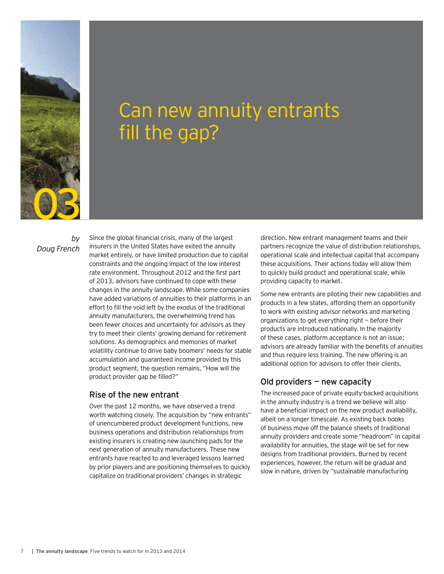

# Can new annuity entrants fill the gap?

*by Doug French* Since the global financial crisis, many of the largest insurers in the United States have exited the annuity market entirely, or have limited production due to capital constraints and the ongoing impact of the low interest rate environment. Throughout 2012 and the first part of 2013, advisors have continued to cope with these changes in the annuity landscape. While some companies have added variations of annuities to their platforms in an effort to fill the void left by the exodus of the traditional annuity manufacturers, the overwhelming trend has been fewer choices and uncertainty for advisors as they try to meet their clients' growing demand for retirement solutions. As demographics and memories of market volatility continue to drive baby boomers' needs for stable accumulation and guaranteed income provided by this product segment, the question remains, "How will the product provider gap be filled?"

### Rise of the new entrant

Over the past 12 months, we have observed a trend worth watching closely. The acquisition by "new entrants" of unencumbered product development functions, new business operations and distribution relationships from existing insurers is creating new launching pads for the next generation of annuity manufacturers. These new entrants have reacted to and leveraged lessons learned by prior players and are positioning themselves to quickly capitalize on traditional providers' changes in strategic

direction. New entrant management teams and their partners recognize the value of distribution relationships, operational scale and intellectual capital that accompany these acquisitions. Their actions today will allow them to quickly build product and operational scale, while providing capacity to market.

Some new entrants are piloting their new capabilities and products in a few states, affording them an opportunity to work with existing advisor networks and marketing organizations to get everything right — before their products are introduced nationally. In the majority of these cases, platform acceptance is not an issue; advisors are already familiar with the benefits of annuities and thus require less training. The new offering is an additional option for advisors to offer their clients.

# Old providers — new capacity

The increased pace of private equity-backed acquisitions in the annuity industry is a trend we believe will also have a beneficial impact on the new product availability, albeit on a longer timescale. As existing back books of business move off the balance sheets of traditional annuity providers and create some "headroom" in capital availability for annuities, the stage will be set for new designs from traditional providers. Burned by recent experiences, however, the return will be gradual and slow in nature, driven by "sustainable manufacturing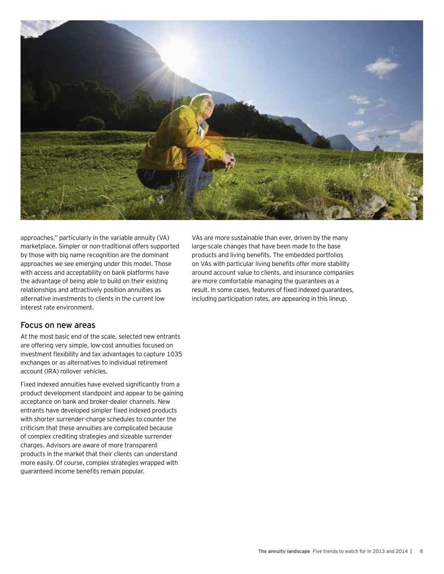

approaches," particularly in the variable annuity (VA) marketplace. Simpler or non-traditional offers supported by those with big name recognition are the dominant approaches we see emerging under this model. Those with access and acceptability on bank platforms have the advantage of being able to build on their existing relationships and attractively position annuities as alternative investments to clients in the current low interest rate environment.

### VAs are more sustainable than ever, driven by the many large-scale changes that have been made to the base products and living benefits. The embedded portfolios on VAs with particular living benefits offer more stability around account value to clients, and insurance companies are more comfortable managing the guarantees as a result. In some cases, features of fixed indexed guarantees, including participation rates, are appearing in this lineup.

# Focus on new areas

At the most basic end of the scale, selected new entrants are offering very simple, low-cost annuities focused on investment flexibility and tax advantages to capture 1035 exchanges or as alternatives to individual retirement account (IRA) rollover vehicles.

Fixed indexed annuities have evolved significantly from a product development standpoint and appear to be gaining acceptance on bank and broker-dealer channels. New entrants have developed simpler fixed indexed products with shorter surrender-charge schedules to counter the criticism that these annuities are complicated because of complex crediting strategies and sizeable surrender charges. Advisors are aware of more transparent products in the market that their clients can understand more easily. Of course, complex strategies wrapped with quaranteed income benefits remain popular.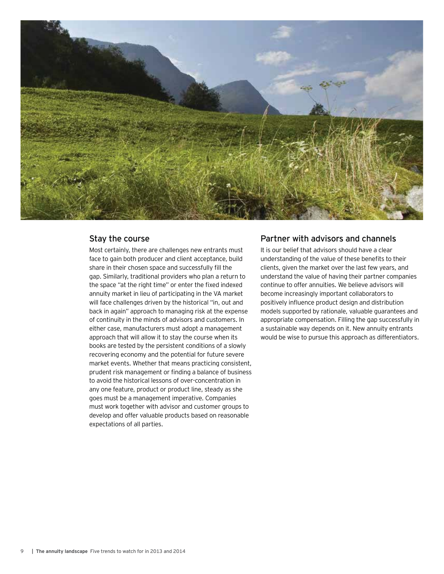

# Stay the course

Most certainly, there are challenges new entrants must face to gain both producer and client acceptance, build share in their chosen space and successfully fill the gap. Similarly, traditional providers who plan a return to the space "at the right time" or enter the fixed indexed annuity market in lieu of participating in the VA market will face challenges driven by the historical "in, out and back in again" approach to managing risk at the expense of continuity in the minds of advisors and customers. In either case, manufacturers must adopt a management approach that will allow it to stay the course when its books are tested by the persistent conditions of a slowly recovering economy and the potential for future severe market events. Whether that means practicing consistent, prudent risk management or finding a balance of business to avoid the historical lessons of over-concentration in any one feature, product or product line, steady as she goes must be a management imperative. Companies must work together with advisor and customer groups to develop and offer valuable products based on reasonable expectations of all parties.

## Partner with advisors and channels

It is our belief that advisors should have a clear understanding of the value of these benefits to their clients, given the market over the last few years, and understand the value of having their partner companies continue to offer annuities. We believe advisors will become increasingly important collaborators to positively influence product design and distribution models supported by rationale, valuable guarantees and appropriate compensation. Filling the gap successfully in a sustainable way depends on it. New annuity entrants would be wise to pursue this approach as differentiators.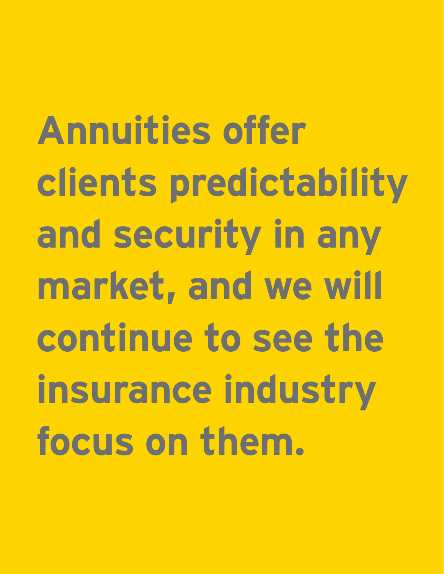**Annuities offer clients predictability and security in any**  market, and we will **continue to see the insurance industry focus on them.**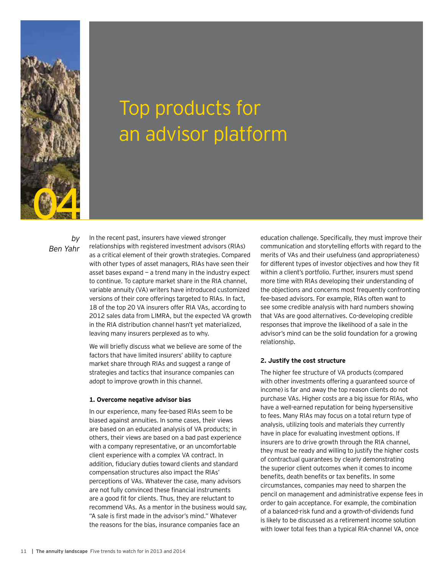

# Top products for an advisor platform

*by Ben Yahr* In the recent past, insurers have viewed stronger relationships with registered investment advisors (RIAs) as a critical element of their growth strategies. Compared with other types of asset managers, RIAs have seen their asset bases expand  $-$  a trend many in the industry expect to continue. To capture market share in the RIA channel, variable annuity (VA) writers have introduced customized versions of their core offerings targeted to RIAs. In fact, 18 of the top 20 VA insurers offer RIA VAs, according to 2012 sales data from LIMRA, but the expected VA growth in the RIA distribution channel hasn't yet materialized, leaving many insurers perplexed as to why.

We will briefly discuss what we believe are some of the factors that have limited insurers' ability to capture market share through RIAs and suggest a range of strategies and tactics that insurance companies can adopt to improve growth in this channel.

#### **1. Overcome negative advisor bias**

In our experience, many fee-based RIAs seem to be biased against annuities. In some cases, their views are based on an educated analysis of VA products; in others, their views are based on a bad past experience with a company representative, or an uncomfortable client experience with a complex VA contract. In addition, fiduciary duties toward clients and standard compensation structures also impact the RIAs' perceptions of VAs. Whatever the case, many advisors are not fully convinced these financial instruments are a good fit for clients. Thus, they are reluctant to recommend VAs. As a mentor in the business would say, "A sale is first made in the advisor's mind." Whatever the reasons for the bias, insurance companies face an

education challenge. Specifically, they must improve their communication and storytelling efforts with regard to the merits of VAs and their usefulness (and appropriateness) for different types of investor objectives and how they fit within a client's portfolio. Further, insurers must spend more time with RIAs developing their understanding of the objections and concerns most frequently confronting fee-based advisors. For example, RIAs often want to see some credible analysis with hard numbers showing that VAs are good alternatives. Co-developing credible responses that improve the likelihood of a sale in the advisor's mind can be the solid foundation for a growing relationship.

#### **2. Justify the cost structure**

The higher fee structure of VA products (compared with other investments offering a guaranteed source of income) is far and away the top reason clients do not purchase VAs. Higher costs are a big issue for RIAs, who have a well-earned reputation for being hypersensitive to fees. Many RIAs may focus on a total return type of analysis, utilizing tools and materials they currently have in place for evaluating investment options. If insurers are to drive growth through the RIA channel, they must be ready and willing to justify the higher costs of contractual guarantees by clearly demonstrating the superior client outcomes when it comes to income benefits, death benefits or tax benefits. In some circumstances, companies may need to sharpen the pencil on management and administrative expense fees in order to gain acceptance. For example, the combination of a balanced-risk fund and a growth-of-dividends fund is likely to be discussed as a retirement income solution with lower total fees than a typical RIA-channel VA, once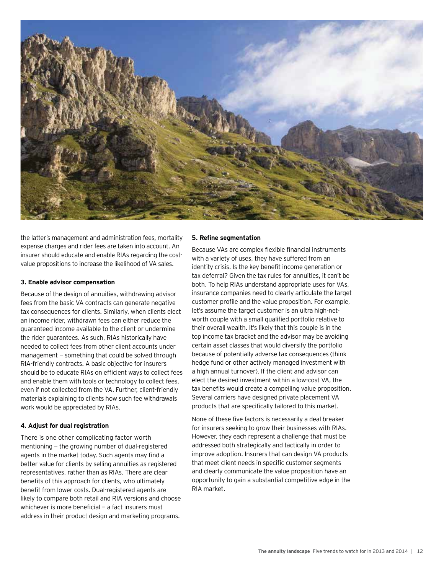

the latter's management and administration fees, mortality expense charges and rider fees are taken into account. An insurer should educate and enable RIAs regarding the costvalue propositions to increase the likelihood of VA sales.

#### **3. Enable advisor compensation**

Because of the design of annuities, withdrawing advisor fees from the basic VA contracts can generate negative tax consequences for clients. Similarly, when clients elect an income rider, withdrawn fees can either reduce the guaranteed income available to the client or undermine the rider guarantees. As such, RIAs historically have needed to collect fees from other client accounts under management — something that could be solved through RIA-friendly contracts. A basic objective for insurers should be to educate RIAs on efficient ways to collect fees and enable them with tools or technology to collect fees, even if not collected from the VA. Further, client-friendly materials explaining to clients how such fee withdrawals work would be appreciated by RIAs.

#### **4. Adjust for dual registration**

There is one other complicating factor worth mentioning — the growing number of dual-registered agents in the market today. Such agents may find a better value for clients by selling annuities as registered representatives, rather than as RIAs. There are clear benefits of this approach for clients, who ultimately benefit from lower costs. Dual-registered agents are likely to compare both retail and RIA versions and choose whichever is more beneficial  $-$  a fact insurers must address in their product design and marketing programs.

#### **5. Refine seamentation**

Because VAs are complex flexible financial instruments with a variety of uses, they have suffered from an identity crisis. Is the key benefit income generation or tax deferral? Given the tax rules for annuities, it can't be both. To help RIAs understand appropriate uses for VAs, insurance companies need to clearly articulate the target customer profile and the value proposition. For example, let's assume the target customer is an ultra high-networth couple with a small qualified portfolio relative to their overall wealth. It's likely that this couple is in the top income tax bracket and the advisor may be avoiding certain asset classes that would diversify the portfolio because of potentially adverse tax consequences (think hedge fund or other actively managed investment with a high annual turnover). If the client and advisor can elect the desired investment within a low-cost VA, the tax benefits would create a compelling value proposition. Several carriers have designed private placement VA products that are specifically tailored to this market.

None of these five factors is necessarily a deal breaker for insurers seeking to grow their businesses with RIAs. However, they each represent a challenge that must be addressed both strategically and tactically in order to improve adoption. Insurers that can design VA products that meet client needs in specific customer segments and clearly communicate the value proposition have an opportunity to gain a substantial competitive edge in the RIA market.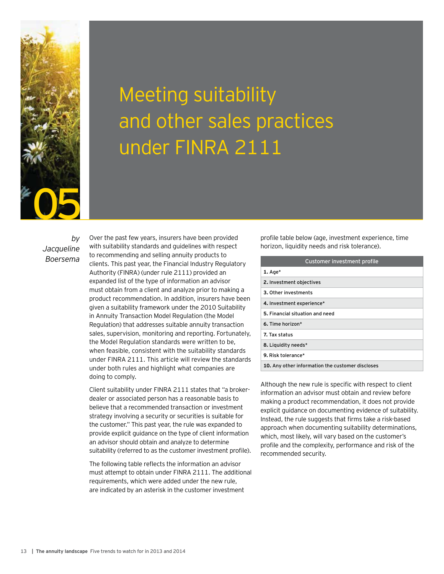

# Meeting suitability and other sales practices under FINRA 2111

*by Jacqueline Boersema* Over the past few years, insurers have been provided with suitability standards and guidelines with respect to recommending and selling annuity products to clients. This past year, the Financial Industry Regulatory Authority (FINRA) (under rule 2111) provided an expanded list of the type of information an advisor must obtain from a client and analyze prior to making a product recommendation. In addition, insurers have been given a suitability framework under the 2010 Suitability in Annuity Transaction Model Regulation (the Model Regulation) that addresses suitable annuity transaction sales, supervision, monitoring and reporting. Fortunately, the Model Regulation standards were written to be, when feasible, consistent with the suitability standards under FINRA 2111. This article will review the standards under both rules and highlight what companies are doing to comply.

Client suitability under FINRA 2111 states that "a brokerdealer or associated person has a reasonable basis to believe that a recommended transaction or investment strategy involving a security or securities is suitable for the customer." This past year, the rule was expanded to provide explicit guidance on the type of client information an advisor should obtain and analyze to determine suitability (referred to as the customer investment profile).

The following table reflects the information an advisor must attempt to obtain under FINRA 2111. The additional requirements, which were added under the new rule, are indicated by an asterisk in the customer investment

profile table below (age, investment experience, time horizon, liquidity needs and risk tolerance).

| Customer investment profile                      |  |  |
|--------------------------------------------------|--|--|
| $1.$ Age*                                        |  |  |
| 2. Investment objectives                         |  |  |
| 3. Other investments                             |  |  |
| 4. Investment experience*                        |  |  |
| 5. Financial situation and need                  |  |  |
| 6. Time horizon*                                 |  |  |
| 7. Tax status                                    |  |  |
| 8. Liquidity needs*                              |  |  |
| 9. Risk tolerance*                               |  |  |
| 10. Any other information the customer discloses |  |  |

Although the new rule is specific with respect to client information an advisor must obtain and review before making a product recommendation, it does not provide explicit guidance on documenting evidence of suitability. Instead, the rule suggests that firms take a risk-based approach when documenting suitability determinations, which, most likely, will vary based on the customer's profile and the complexity, performance and risk of the recommended security.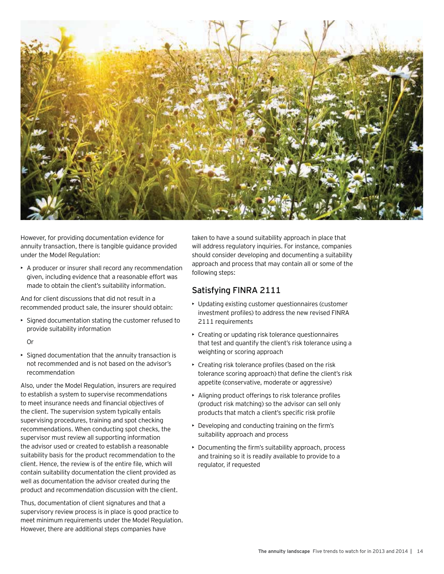

However, for providing documentation evidence for annuity transaction, there is tangible guidance provided under the Model Regulation:

• A producer or insurer shall record any recommendation given, including evidence that a reasonable effort was made to obtain the client's suitability information.

And for client discussions that did not result in a recommended product sale, the insurer should obtain:

• Signed documentation stating the customer refused to provide suitability information

#### • Or

• Signed documentation that the annuity transaction is not recommended and is not based on the advisor's recommendation

Also, under the Model Regulation, insurers are required to establish a system to supervise recommendations to meet insurance needs and financial objectives of the client. The supervision system typically entails supervising procedures, training and spot checking recommendations. When conducting spot checks, the supervisor must review all supporting information the advisor used or created to establish a reasonable suitability basis for the product recommendation to the client. Hence, the review is of the entire file, which will contain suitability documentation the client provided as well as documentation the advisor created during the product and recommendation discussion with the client.

Thus, documentation of client signatures and that a supervisory review process is in place is good practice to meet minimum requirements under the Model Regulation. However, there are additional steps companies have

taken to have a sound suitability approach in place that will address regulatory inquiries. For instance, companies should consider developing and documenting a suitability approach and process that may contain all or some of the following steps:

# Satisfying FINRA 2111

- Updating existing customer questionnaires (customer investment profiles) to address the new revised FINRA 2111 requirements
- Creating or updating risk tolerance questionnaires that test and quantify the client's risk tolerance using a weighting or scoring approach
- $\triangleright$  Creating risk tolerance profiles (based on the risk tolerance scoring approach) that define the client's risk appetite (conservative, moderate or aggressive)
- Aligning product offerings to risk tolerance profiles (product risk matching) so the advisor can sell only products that match a client's specific risk profile
- Developing and conducting training on the firm's suitability approach and process
- $\triangleright$  Documenting the firm's suitability approach, process and training so it is readily available to provide to a regulator, if requested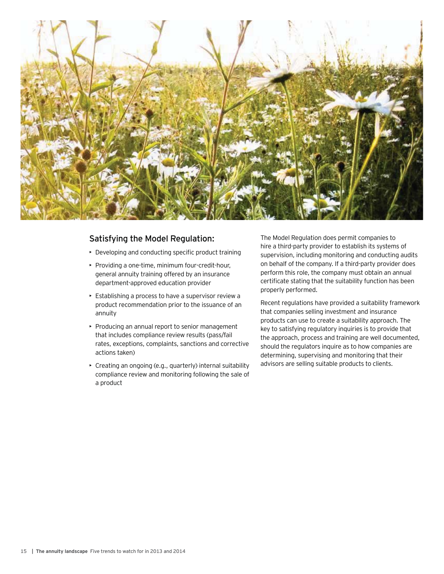

## Satisfying the Model Regulation:

- $\triangleright$  Developing and conducting specific product training
- Providing a one-time, minimum four-credit-hour, general annuity training offered by an insurance department-approved education provider
- Establishing a process to have a supervisor review a product recommendation prior to the issuance of an annuity
- Producing an annual report to senior management that includes compliance review results (pass/fail rates, exceptions, complaints, sanctions and corrective actions taken)
- Creating an ongoing (e.g., quarterly) internal suitability compliance review and monitoring following the sale of a product

The Model Regulation does permit companies to hire a third-party provider to establish its systems of supervision, including monitoring and conducting audits on behalf of the company. If a third-party provider does perform this role, the company must obtain an annual certificate stating that the suitability function has been properly performed.

Recent regulations have provided a suitability framework that companies selling investment and insurance products can use to create a suitability approach. The key to satisfying regulatory inquiries is to provide that the approach, process and training are well documented, should the regulators inquire as to how companies are determining, supervising and monitoring that their advisors are selling suitable products to clients.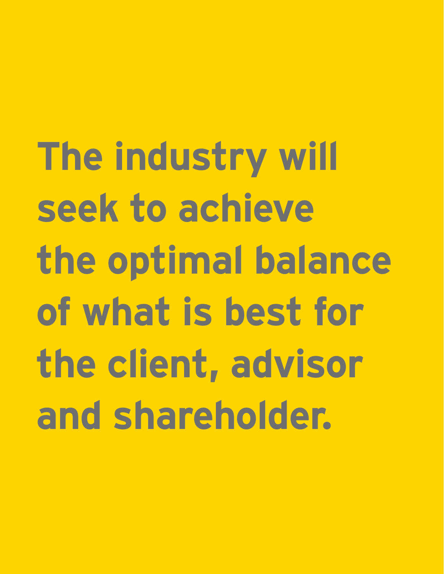**The industry will seek to achieve the optimal balance of what is best for the client, advisor and shareholder.**